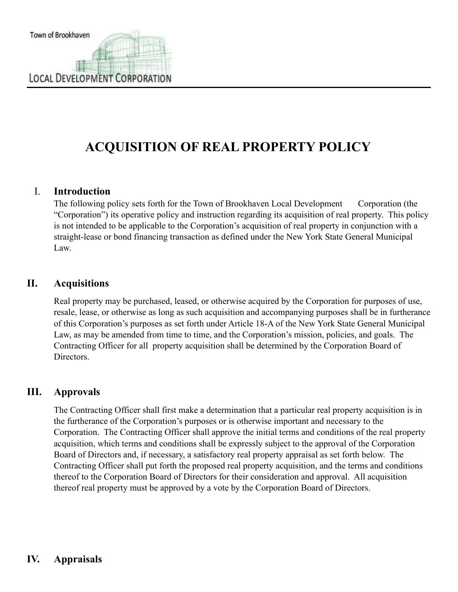## **ACQUISITION OF REAL PROPERTY POLICY**

## I. **Introduction**

The following policy sets forth for the Town of Brookhaven Local Development Corporation (the "Corporation") its operative policy and instruction regarding its acquisition of real property. This policy is not intended to be applicable to the Corporation's acquisition of real property in conjunction with a straight-lease or bond financing transaction as defined under the New York State General Municipal Law.

## **II. Acquisitions**

Real property may be purchased, leased, or otherwise acquired by the Corporation for purposes of use, resale, lease, or otherwise as long as such acquisition and accompanying purposes shall be in furtherance of this Corporation's purposes as set forth under Article 18-A of the New York State General Municipal Law, as may be amended from time to time, and the Corporation's mission, policies, and goals. The Contracting Officer for all property acquisition shall be determined by the Corporation Board of Directors.

## **III. Approvals**

The Contracting Officer shall first make a determination that a particular real property acquisition is in the furtherance of the Corporation's purposes or is otherwise important and necessary to the Corporation. The Contracting Officer shall approve the initial terms and conditions of the real property acquisition, which terms and conditions shall be expressly subject to the approval of the Corporation Board of Directors and, if necessary, a satisfactory real property appraisal as set forth below. The Contracting Officer shall put forth the proposed real property acquisition, and the terms and conditions thereof to the Corporation Board of Directors for their consideration and approval. All acquisition thereof real property must be approved by a vote by the Corporation Board of Directors.